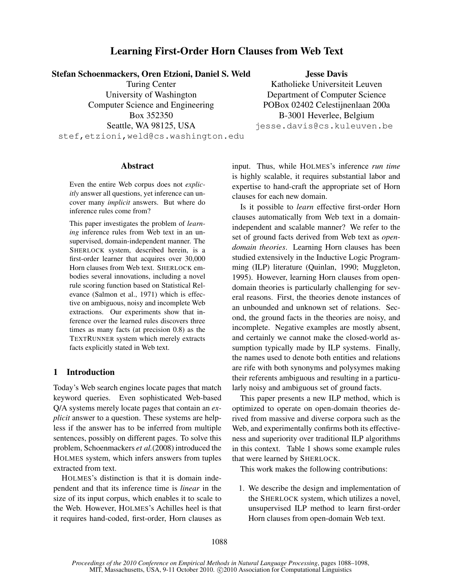# Learning First-Order Horn Clauses from Web Text

Stefan Schoenmackers, Oren Etzioni, Daniel S. Weld

Turing Center University of Washington Computer Science and Engineering Box 352350 Seattle, WA 98125, USA stef,etzioni,weld@cs.washington.edu

# Jesse Davis

Katholieke Universiteit Leuven Department of Computer Science POBox 02402 Celestijnenlaan 200a B-3001 Heverlee, Belgium jesse.davis@cs.kuleuven.be

## Abstract

Even the entire Web corpus does not *explicitly* answer all questions, yet inference can uncover many *implicit* answers. But where do inference rules come from?

This paper investigates the problem of *learning* inference rules from Web text in an unsupervised, domain-independent manner. The SHERLOCK system, described herein, is a first-order learner that acquires over 30,000 Horn clauses from Web text. SHERLOCK embodies several innovations, including a novel rule scoring function based on Statistical Relevance (Salmon et al., 1971) which is effective on ambiguous, noisy and incomplete Web extractions. Our experiments show that inference over the learned rules discovers three times as many facts (at precision 0.8) as the TEXTRUNNER system which merely extracts facts explicitly stated in Web text.

# 1 Introduction

Today's Web search engines locate pages that match keyword queries. Even sophisticated Web-based Q/A systems merely locate pages that contain an *explicit* answer to a question. These systems are helpless if the answer has to be inferred from multiple sentences, possibly on different pages. To solve this problem, Schoenmackers *et al.*(2008) introduced the HOLMES system, which infers answers from tuples extracted from text.

HOLMES's distinction is that it is domain independent and that its inference time is *linear* in the size of its input corpus, which enables it to scale to the Web. However, HOLMES's Achilles heel is that it requires hand-coded, first-order, Horn clauses as input. Thus, while HOLMES's inference *run time* is highly scalable, it requires substantial labor and expertise to hand-craft the appropriate set of Horn clauses for each new domain.

Is it possible to *learn* effective first-order Horn clauses automatically from Web text in a domainindependent and scalable manner? We refer to the set of ground facts derived from Web text as *opendomain theories*. Learning Horn clauses has been studied extensively in the Inductive Logic Programming (ILP) literature (Quinlan, 1990; Muggleton, 1995). However, learning Horn clauses from opendomain theories is particularly challenging for several reasons. First, the theories denote instances of an unbounded and unknown set of relations. Second, the ground facts in the theories are noisy, and incomplete. Negative examples are mostly absent, and certainly we cannot make the closed-world assumption typically made by ILP systems. Finally, the names used to denote both entities and relations are rife with both synonyms and polysymes making their referents ambiguous and resulting in a particularly noisy and ambiguous set of ground facts.

This paper presents a new ILP method, which is optimized to operate on open-domain theories derived from massive and diverse corpora such as the Web, and experimentally confirms both its effectiveness and superiority over traditional ILP algorithms in this context. Table 1 shows some example rules that were learned by SHERLOCK.

This work makes the following contributions:

1. We describe the design and implementation of the SHERLOCK system, which utilizes a novel, unsupervised ILP method to learn first-order Horn clauses from open-domain Web text.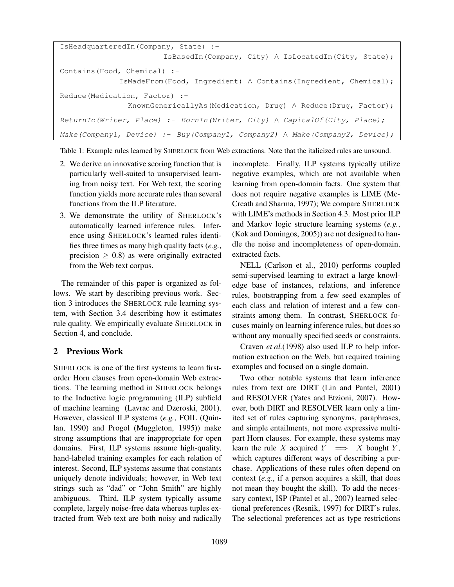```
IsHeadquarteredIn(Company, State) :-
                       IsBasedIn(Company, City) ∧ IsLocatedIn(City, State);
Contains(Food, Chemical) :-
             IsMadeFrom(Food, Ingredient) ∧ Contains(Ingredient, Chemical);
Reduce(Medication, Factor) :-
               KnownGenericallyAs(Medication, Drug) ∧ Reduce(Drug, Factor);
ReturnTo(Writer, Place) :- BornIn(Writer, City) ∧ CapitalOf(City, Place);
Make(Company1, Device) :- Buy(Company1, Company2) ∧ Make(Company2, Device);
```
Table 1: Example rules learned by SHERLOCK from Web extractions. Note that the italicized rules are unsound.

- 2. We derive an innovative scoring function that is particularly well-suited to unsupervised learning from noisy text. For Web text, the scoring function yields more accurate rules than several functions from the ILP literature.
- 3. We demonstrate the utility of SHERLOCK's automatically learned inference rules. Inference using SHERLOCK's learned rules identifies three times as many high quality facts (*e.g.*, precision  $\geq$  0.8) as were originally extracted from the Web text corpus.

The remainder of this paper is organized as follows. We start by describing previous work. Section 3 introduces the SHERLOCK rule learning system, with Section 3.4 describing how it estimates rule quality. We empirically evaluate SHERLOCK in Section 4, and conclude.

# 2 Previous Work

SHERLOCK is one of the first systems to learn firstorder Horn clauses from open-domain Web extractions. The learning method in SHERLOCK belongs to the Inductive logic programming (ILP) subfield of machine learning (Lavrac and Dzeroski, 2001). However, classical ILP systems (*e.g.*, FOIL (Quinlan, 1990) and Progol (Muggleton, 1995)) make strong assumptions that are inappropriate for open domains. First, ILP systems assume high-quality, hand-labeled training examples for each relation of interest. Second, ILP systems assume that constants uniquely denote individuals; however, in Web text strings such as "dad" or "John Smith" are highly ambiguous. Third, ILP system typically assume complete, largely noise-free data whereas tuples extracted from Web text are both noisy and radically

incomplete. Finally, ILP systems typically utilize negative examples, which are not available when learning from open-domain facts. One system that does not require negative examples is LIME (Mc-Creath and Sharma, 1997); We compare SHERLOCK with LIME's methods in Section 4.3. Most prior ILP and Markov logic structure learning systems (*e.g.*, (Kok and Domingos, 2005)) are not designed to handle the noise and incompleteness of open-domain, extracted facts.

NELL (Carlson et al., 2010) performs coupled semi-supervised learning to extract a large knowledge base of instances, relations, and inference rules, bootstrapping from a few seed examples of each class and relation of interest and a few constraints among them. In contrast, SHERLOCK focuses mainly on learning inference rules, but does so without any manually specified seeds or constraints.

Craven *et al.*(1998) also used ILP to help information extraction on the Web, but required training examples and focused on a single domain.

Two other notable systems that learn inference rules from text are DIRT (Lin and Pantel, 2001) and RESOLVER (Yates and Etzioni, 2007). However, both DIRT and RESOLVER learn only a limited set of rules capturing synonyms, paraphrases, and simple entailments, not more expressive multipart Horn clauses. For example, these systems may learn the rule X acquired  $Y \implies X$  bought Y, which captures different ways of describing a purchase. Applications of these rules often depend on context (*e.g.*, if a person acquires a skill, that does not mean they bought the skill). To add the necessary context, ISP (Pantel et al., 2007) learned selectional preferences (Resnik, 1997) for DIRT's rules. The selectional preferences act as type restrictions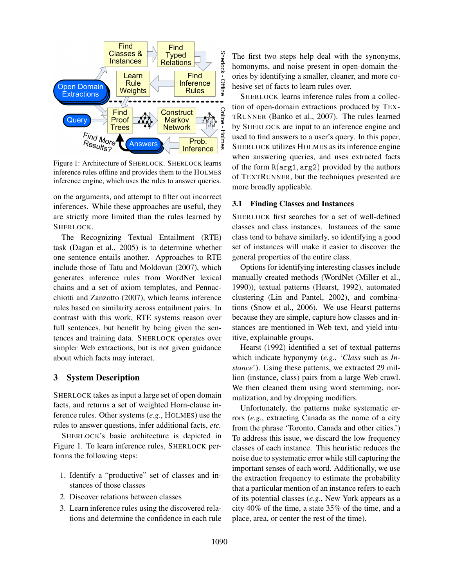

Figure 1: Architecture of SHERLOCK. SHERLOCK learns inference rules offline and provides them to the HOLMES inference engine, which uses the rules to answer queries.

on the arguments, and attempt to filter out incorrect inferences. While these approaches are useful, they are strictly more limited than the rules learned by SHERLOCK.

The Recognizing Textual Entailment (RTE) task (Dagan et al., 2005) is to determine whether one sentence entails another. Approaches to RTE include those of Tatu and Moldovan (2007), which generates inference rules from WordNet lexical chains and a set of axiom templates, and Pennacchiotti and Zanzotto (2007), which learns inference rules based on similarity across entailment pairs. In contrast with this work, RTE systems reason over full sentences, but benefit by being given the sentences and training data. SHERLOCK operates over simpler Web extractions, but is not given guidance about which facts may interact.

### 3 System Description

SHERLOCK takes as input a large set of open domain facts, and returns a set of weighted Horn-clause inference rules. Other systems (*e.g.*, HOLMES) use the rules to answer questions, infer additional facts, *etc.*

SHERLOCK's basic architecture is depicted in Figure 1. To learn inference rules, SHERLOCK performs the following steps:

- 1. Identify a "productive" set of classes and instances of those classes
- 2. Discover relations between classes
- 3. Learn inference rules using the discovered relations and determine the confidence in each rule

The first two steps help deal with the synonyms, homonyms, and noise present in open-domain theories by identifying a smaller, cleaner, and more cohesive set of facts to learn rules over.

SHERLOCK learns inference rules from a collection of open-domain extractions produced by TEX-TRUNNER (Banko et al., 2007). The rules learned by SHERLOCK are input to an inference engine and used to find answers to a user's query. In this paper, SHERLOCK utilizes HOLMES as its inference engine when answering queries, and uses extracted facts of the form  $R(\text{arg1}, \text{arg2})$  provided by the authors of TEXTRUNNER, but the techniques presented are more broadly applicable.

# 3.1 Finding Classes and Instances

SHERLOCK first searches for a set of well-defined classes and class instances. Instances of the same class tend to behave similarly, so identifying a good set of instances will make it easier to discover the general properties of the entire class.

Options for identifying interesting classes include manually created methods (WordNet (Miller et al., 1990)), textual patterns (Hearst, 1992), automated clustering (Lin and Pantel, 2002), and combinations (Snow et al., 2006). We use Hearst patterns because they are simple, capture how classes and instances are mentioned in Web text, and yield intuitive, explainable groups.

Hearst (1992) identified a set of textual patterns which indicate hyponymy (*e.g.*, '*Class* such as *Instance*'). Using these patterns, we extracted 29 million (instance, class) pairs from a large Web crawl. We then cleaned them using word stemming, normalization, and by dropping modifiers.

Unfortunately, the patterns make systematic errors (*e.g.*, extracting Canada as the name of a city from the phrase 'Toronto, Canada and other cities.') To address this issue, we discard the low frequency classes of each instance. This heuristic reduces the noise due to systematic error while still capturing the important senses of each word. Additionally, we use the extraction frequency to estimate the probability that a particular mention of an instance refers to each of its potential classes (*e.g.*, New York appears as a city 40% of the time, a state 35% of the time, and a place, area, or center the rest of the time).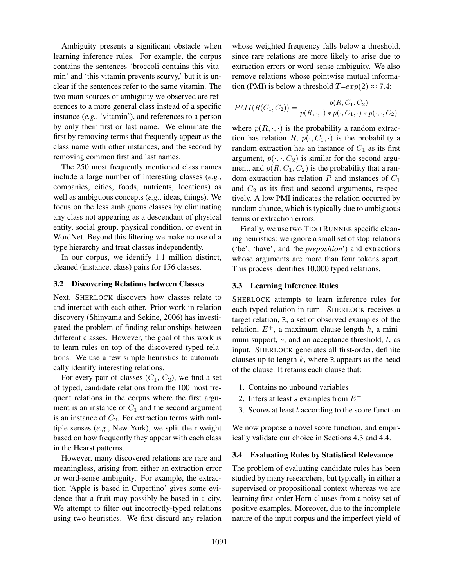Ambiguity presents a significant obstacle when learning inference rules. For example, the corpus contains the sentences 'broccoli contains this vitamin' and 'this vitamin prevents scurvy,' but it is unclear if the sentences refer to the same vitamin. The two main sources of ambiguity we observed are references to a more general class instead of a specific instance (*e.g.*, 'vitamin'), and references to a person by only their first or last name. We eliminate the first by removing terms that frequently appear as the class name with other instances, and the second by removing common first and last names.

The 250 most frequently mentioned class names include a large number of interesting classes (*e.g.*, companies, cities, foods, nutrients, locations) as well as ambiguous concepts (*e.g.*, ideas, things). We focus on the less ambiguous classes by eliminating any class not appearing as a descendant of physical entity, social group, physical condition, or event in WordNet. Beyond this filtering we make no use of a type hierarchy and treat classes independently.

In our corpus, we identify 1.1 million distinct, cleaned (instance, class) pairs for 156 classes.

#### 3.2 Discovering Relations between Classes

Next, SHERLOCK discovers how classes relate to and interact with each other. Prior work in relation discovery (Shinyama and Sekine, 2006) has investigated the problem of finding relationships between different classes. However, the goal of this work is to learn rules on top of the discovered typed relations. We use a few simple heuristics to automatically identify interesting relations.

For every pair of classes  $(C_1, C_2)$ , we find a set of typed, candidate relations from the 100 most frequent relations in the corpus where the first argument is an instance of  $C_1$  and the second argument is an instance of  $C_2$ . For extraction terms with multiple senses (*e.g.*, New York), we split their weight based on how frequently they appear with each class in the Hearst patterns.

However, many discovered relations are rare and meaningless, arising from either an extraction error or word-sense ambiguity. For example, the extraction 'Apple is based in Cupertino' gives some evidence that a fruit may possibly be based in a city. We attempt to filter out incorrectly-typed relations using two heuristics. We first discard any relation whose weighted frequency falls below a threshold, since rare relations are more likely to arise due to extraction errors or word-sense ambiguity. We also remove relations whose pointwise mutual information (PMI) is below a threshold  $T=exp(2) \approx 7.4$ :

$$
PMI(R(C_1, C_2)) = \frac{p(R, C_1, C_2)}{p(R, \cdot, \cdot) * p(\cdot, C_1, \cdot) * p(\cdot, \cdot, C_2)}
$$

where  $p(R, \cdot, \cdot)$  is the probability a random extraction has relation R,  $p(\cdot, C_1, \cdot)$  is the probability a random extraction has an instance of  $C_1$  as its first argument,  $p(\cdot, \cdot, C_2)$  is similar for the second argument, and  $p(R, C_1, C_2)$  is the probability that a random extraction has relation R and instances of  $C_1$ and  $C_2$  as its first and second arguments, respectively. A low PMI indicates the relation occurred by random chance, which is typically due to ambiguous terms or extraction errors.

Finally, we use two TEXTRUNNER specific cleaning heuristics: we ignore a small set of stop-relations ('be', 'have', and 'be *preposition*') and extractions whose arguments are more than four tokens apart. This process identifies 10,000 typed relations.

## 3.3 Learning Inference Rules

SHERLOCK attempts to learn inference rules for each typed relation in turn. SHERLOCK receives a target relation, R, a set of observed examples of the relation,  $E^+$ , a maximum clause length k, a minimum support,  $s$ , and an acceptance threshold,  $t$ , as input. SHERLOCK generates all first-order, definite clauses up to length  $k$ , where R appears as the head of the clause. It retains each clause that:

- 1. Contains no unbound variables
- 2. Infers at least s examples from  $E^+$
- 3. Scores at least  $t$  according to the score function

We now propose a novel score function, and empirically validate our choice in Sections 4.3 and 4.4.

#### 3.4 Evaluating Rules by Statistical Relevance

The problem of evaluating candidate rules has been studied by many researchers, but typically in either a supervised or propositional context whereas we are learning first-order Horn-clauses from a noisy set of positive examples. Moreover, due to the incomplete nature of the input corpus and the imperfect yield of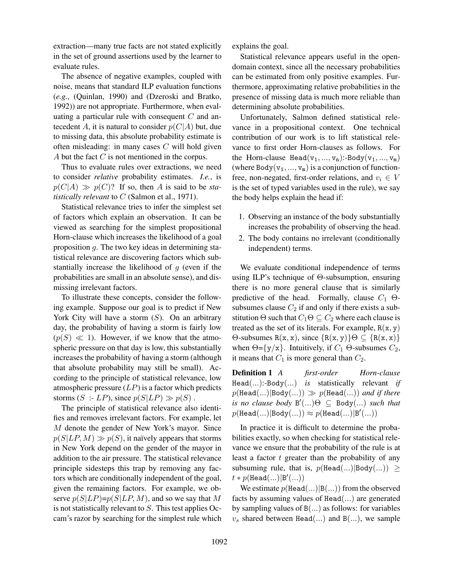extraction—many true facts are not stated explicitly in the set of ground assertions used by the learner to evaluate rules.

The absence of negative examples, coupled with noise, means that standard ILP evaluation functions (*e.g.*, (Quinlan, 1990) and (Dzeroski and Bratko, 1992)) are not appropriate. Furthermore, when evaluating a particular rule with consequent  $C$  and antecedent A, it is natural to consider  $p(C|A)$  but, due to missing data, this absolute probability estimate is often misleading: in many cases  $C$  will hold given A but the fact C is not mentioned in the corpus.

Thus to evaluate rules over extractions, we need to consider *relative* probability estimates. *I.e.*, is  $p(C|A) \gg p(C)$ ? If so, then A is said to be *statistically relevant* to C (Salmon et al., 1971).

Statistical relevance tries to infer the simplest set of factors which explain an observation. It can be viewed as searching for the simplest propositional Horn-clause which increases the likelihood of a goal proposition g. The two key ideas in determining statistical relevance are discovering factors which substantially increase the likelihood of  $q$  (even if the probabilities are small in an absolute sense), and dismissing irrelevant factors.

To illustrate these concepts, consider the following example. Suppose our goal is to predict if New York City will have a storm  $(S)$ . On an arbitrary day, the probability of having a storm is fairly low  $(p(S) \ll 1)$ . However, if we know that the atmospheric pressure on that day is low, this substantially increases the probability of having a storm (although that absolute probability may still be small). According to the principle of statistical relevance, low atmospheric pressure  $(LP)$  is a factor which predicts storms  $(S : LP)$ , since  $p(S|LP) \gg p(S)$ .

The principle of statistical relevance also identifies and removes irrelevant factors. For example, let M denote the gender of New York's mayor. Since  $p(S|LP, M) \gg p(S)$ , it naïvely appears that storms in New York depend on the gender of the mayor in addition to the air pressure. The statistical relevance principle sidesteps this trap by removing any factors which are conditionally independent of the goal, given the remaining factors. For example, we observe  $p(S|LP)=p(S|LP, M)$ , and so we say that M is not statistically relevant to S. This test applies Occam's razor by searching for the simplest rule which explains the goal.

Statistical relevance appears useful in the opendomain context, since all the necessary probabilities can be estimated from only positive examples. Furthermore, approximating relative probabilities in the presence of missing data is much more reliable than determining absolute probabilities.

Unfortunately, Salmon defined statistical relevance in a propositional context. One technical contribution of our work is to lift statistical relevance to first order Horn-clauses as follows. For the Horn-clause Head( $v_1, ..., v_n$ ):-Body( $v_1, ..., v_m$ ) (where Body( $v_1, ..., v_m$ ) is a conjunction of functionfree, non-negated, first-order relations, and  $v_i \in V$ is the set of typed variables used in the rule), we say the body helps explain the head if:

- 1. Observing an instance of the body substantially increases the probability of observing the head.
- 2. The body contains no irrelevant (conditionally independent) terms.

We evaluate conditional independence of terms using ILP's technique of Θ-subsumption, ensuring there is no more general clause that is similarly predictive of the head. Formally, clause  $C_1$   $\Theta$ subsumes clause  $C_2$  if and only if there exists a substitution  $\Theta$  such that  $C_1\Theta \subseteq C_2$  where each clause is treated as the set of its literals. For example,  $R(x, y)$  $\Theta$ -subsumes R(x, x), since  $\{R(x, y)\}\Theta \subseteq \{R(x, x)\}\$ when  $\Theta = \{y/x\}$ . Intuitively, if  $C_1$   $\Theta$ -subsumes  $C_2$ , it means that  $C_1$  is more general than  $C_2$ .

Definition 1 *A first-order Horn-clause* Head(...):-Body(...) *is* statistically relevant *if*  $p(\text{Head}(...)|\text{Body}(...)) \gg p(\text{Head}(...))$  *and if there*  $\mathit{is}$  *no clause body*  $B'(...) \Theta \subseteq B$ ody $(...)$  *such that*  $p(\mathtt{Head}(...)|\mathtt{Body}(...)) \approx p(\mathtt{Head}(...)|\mathtt{B}'(...))$ 

In practice it is difficult to determine the probabilities exactly, so when checking for statistical relevance we ensure that the probability of the rule is at least a factor  $t$  greater than the probability of any subsuming rule, that is,  $p(Head(...)|Body(...)$  >  $t * p(\text{Head}(...)|B'(...))$ 

We estimate  $p(\text{Head}(...)|B(...))$  from the observed facts by assuming values of Head(...) are generated by sampling values of  $B(...)$  as follows: for variables  $v_s$  shared between Head(...) and B(...), we sample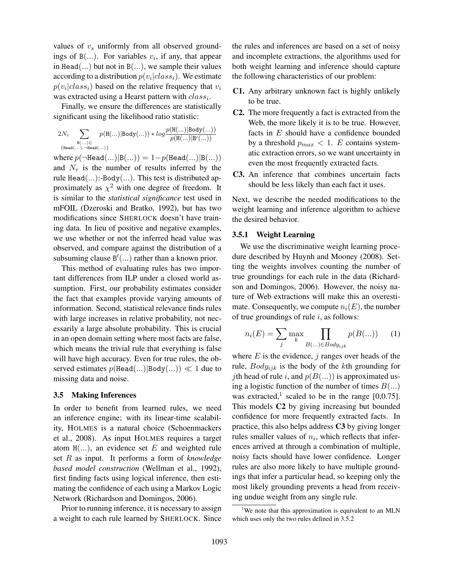values of  $v<sub>s</sub>$  uniformly from all observed groundings of  $B(...)$ . For variables  $v_i$ , if any, that appear in Head(...) but not in  $B(...)$ , we sample their values according to a distribution  $p(v_i|class_i)$ . We estimate  $p(v_i|class_i)$  based on the relative frequency that  $v_i$ was extracted using a Hearst pattern with  $class_i$ .

Finally, we ensure the differences are statistically significant using the likelihood ratio statistic:

$$
2N_r\sum_{\substack{\mathrm{H}(\ldots) \in \\ \{\mathrm{Head}(\ldots)\,,\,\neg \mathrm{Head}(\ldots)\}}}p(\mathrm{H}(\ldots)|\mathrm{Body}(\ldots)) * log\frac{p(\mathrm{H}(\ldots)|\mathrm{Body}(\ldots))}{p(\mathrm{H}(\ldots)|\mathrm{B'}(\ldots))}
$$

where  $p(\neg \text{Head}(...)|B(...)) = 1-p(\text{Head}(...)|B(...))$ and  $N_r$  is the number of results inferred by the rule  $Head(...)$ :-Body $(...)$ . This test is distributed approximately as  $\chi^2$  with one degree of freedom. It is similar to the *statistical significance* test used in mFOIL (Dzeroski and Bratko, 1992), but has two modifications since SHERLOCK doesn't have training data. In lieu of positive and negative examples, we use whether or not the inferred head value was observed, and compare against the distribution of a subsuming clause  $B'(...)$  rather than a known prior.

This method of evaluating rules has two important differences from ILP under a closed world assumption. First, our probability estimates consider the fact that examples provide varying amounts of information. Second, statistical relevance finds rules with large increases in relative probability, not necessarily a large absolute probability. This is crucial in an open domain setting where most facts are false, which means the trivial rule that everything is false will have high accuracy. Even for true rules, the observed estimates  $p(Head(...)|Body(...) \ll 1$  due to missing data and noise.

#### 3.5 Making Inferences

In order to benefit from learned rules, we need an inference engine; with its linear-time scalability, HOLMES is a natural choice (Schoenmackers et al., 2008). As input HOLMES requires a target atom  $H(...)$ , an evidence set E and weighted rule set R as input. It performs a form of *knowledge based model construction* (Wellman et al., 1992), first finding facts using logical inference, then estimating the confidence of each using a Markov Logic Network (Richardson and Domingos, 2006).

Prior to running inference, it is necessary to assign a weight to each rule learned by SHERLOCK. Since the rules and inferences are based on a set of noisy and incomplete extractions, the algorithms used for both weight learning and inference should capture the following characteristics of our problem:

- C1. Any arbitrary unknown fact is highly unlikely to be true.
- C2. The more frequently a fact is extracted from the Web, the more likely it is to be true. However, facts in  $E$  should have a confidence bounded by a threshold  $p_{max} < 1$ . E contains systematic extraction errors, so we want uncertainty in even the most frequently extracted facts.
- C3. An inference that combines uncertain facts should be less likely than each fact it uses.

Next, we describe the needed modifications to the weight learning and inference algorithm to achieve the desired behavior.

### 3.5.1 Weight Learning

We use the discriminative weight learning procedure described by Huynh and Mooney (2008). Setting the weights involves counting the number of true groundings for each rule in the data (Richardson and Domingos, 2006). However, the noisy nature of Web extractions will make this an overestimate. Consequently, we compute  $n_i(E)$ , the number of true groundings of rule  $i$ , as follows:

$$
n_i(E) = \sum_j \max_k \prod_{B(\ldots) \in Body_{ijk}} p(B(\ldots)) \qquad (1)
$$

where  $E$  is the evidence,  $j$  ranges over heads of the rule,  $Body_{ijk}$  is the body of the kth grounding for *j*th head of rule *i*, and  $p(B(...)$  is approximated using a logistic function of the number of times  $B(...)$ was extracted,<sup>1</sup> scaled to be in the range [0,0.75]. This models C2 by giving increasing but bounded confidence for more frequently extracted facts. In practice, this also helps address C3 by giving longer rules smaller values of  $n_i$ , which reflects that inferences arrived at through a combination of multiple, noisy facts should have lower confidence. Longer rules are also more likely to have multiple groundings that infer a particular head, so keeping only the most likely grounding prevents a head from receiving undue weight from any single rule.

<sup>&</sup>lt;sup>1</sup>We note that this approximation is equivalent to an MLN which uses only the two rules defined in 3.5.2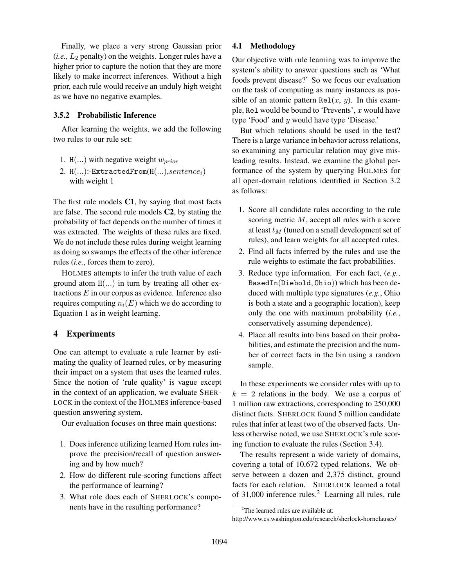Finally, we place a very strong Gaussian prior  $(i.e., L<sub>2</sub> penalty)$  on the weights. Longer rules have a higher prior to capture the notion that they are more likely to make incorrect inferences. Without a high prior, each rule would receive an unduly high weight as we have no negative examples.

## 3.5.2 Probabilistic Inference

After learning the weights, we add the following two rules to our rule set:

- 1. H(...) with negative weight  $w_{prior}$
- 2.  $H(...):$ -ExtractedFrom $(H(...), sentence_i)$ with weight 1

The first rule models C1, by saying that most facts are false. The second rule models C2, by stating the probability of fact depends on the number of times it was extracted. The weights of these rules are fixed. We do not include these rules during weight learning as doing so swamps the effects of the other inference rules (*i.e.*, forces them to zero).

HOLMES attempts to infer the truth value of each ground atom  $H$ ...) in turn by treating all other extractions  $E$  in our corpus as evidence. Inference also requires computing  $n_i(E)$  which we do according to Equation 1 as in weight learning.

# 4 Experiments

One can attempt to evaluate a rule learner by estimating the quality of learned rules, or by measuring their impact on a system that uses the learned rules. Since the notion of 'rule quality' is vague except in the context of an application, we evaluate SHER-LOCK in the context of the HOLMES inference-based question answering system.

Our evaluation focuses on three main questions:

- 1. Does inference utilizing learned Horn rules improve the precision/recall of question answering and by how much?
- 2. How do different rule-scoring functions affect the performance of learning?
- 3. What role does each of SHERLOCK's components have in the resulting performance?

## 4.1 Methodology

Our objective with rule learning was to improve the system's ability to answer questions such as 'What foods prevent disease?' So we focus our evaluation on the task of computing as many instances as possible of an atomic pattern Re $L(x, y)$ . In this example, Rel would be bound to 'Prevents',  $x$  would have type 'Food' and y would have type 'Disease.'

But which relations should be used in the test? There is a large variance in behavior across relations, so examining any particular relation may give misleading results. Instead, we examine the global performance of the system by querying HOLMES for all open-domain relations identified in Section 3.2 as follows:

- 1. Score all candidate rules according to the rule scoring metric M, accept all rules with a score at least  $t_M$  (tuned on a small development set of rules), and learn weights for all accepted rules.
- 2. Find all facts inferred by the rules and use the rule weights to estimate the fact probabilities.
- 3. Reduce type information. For each fact, (*e.g.*, BasedIn(Diebold, Ohio)) which has been deduced with multiple type signatures (*e.g.*, Ohio is both a state and a geographic location), keep only the one with maximum probability (*i.e.*, conservatively assuming dependence).
- 4. Place all results into bins based on their probabilities, and estimate the precision and the number of correct facts in the bin using a random sample.

In these experiments we consider rules with up to  $k = 2$  relations in the body. We use a corpus of 1 million raw extractions, corresponding to 250,000 distinct facts. SHERLOCK found 5 million candidate rules that infer at least two of the observed facts. Unless otherwise noted, we use SHERLOCK's rule scoring function to evaluate the rules (Section 3.4).

The results represent a wide variety of domains, covering a total of 10,672 typed relations. We observe between a dozen and 2,375 distinct, ground facts for each relation. SHERLOCK learned a total of 31,000 inference rules.<sup>2</sup> Learning all rules, rule

<sup>&</sup>lt;sup>2</sup>The learned rules are available at:

http://www.cs.washington.edu/research/sherlock-hornclauses/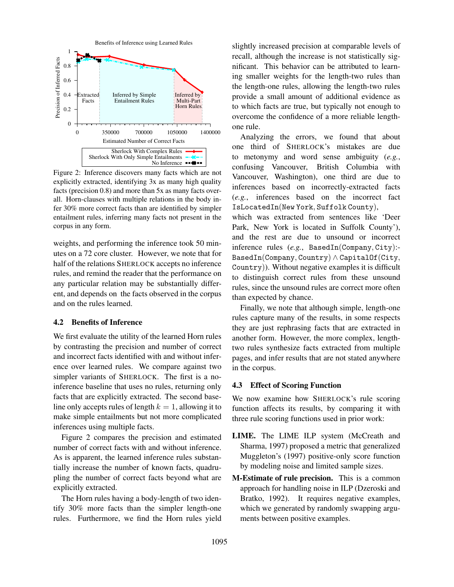

Figure 2: Inference discovers many facts which are not explicitly extracted, identifying 3x as many high quality facts (precision 0.8) and more than 5x as many facts overall. Horn-clauses with multiple relations in the body infer 30% more correct facts than are identified by simpler entailment rules, inferring many facts not present in the corpus in any form.

weights, and performing the inference took 50 minutes on a 72 core cluster. However, we note that for half of the relations SHERLOCK accepts no inference rules, and remind the reader that the performance on any particular relation may be substantially different, and depends on the facts observed in the corpus and on the rules learned.

# 4.2 Benefits of Inference

We first evaluate the utility of the learned Horn rules by contrasting the precision and number of correct and incorrect facts identified with and without inference over learned rules. We compare against two simpler variants of SHERLOCK. The first is a noinference baseline that uses no rules, returning only facts that are explicitly extracted. The second baseline only accepts rules of length  $k = 1$ , allowing it to make simple entailments but not more complicated inferences using multiple facts.

Figure 2 compares the precision and estimated number of correct facts with and without inference. As is apparent, the learned inference rules substantially increase the number of known facts, quadrupling the number of correct facts beyond what are explicitly extracted.

The Horn rules having a body-length of two identify 30% more facts than the simpler length-one rules. Furthermore, we find the Horn rules yield slightly increased precision at comparable levels of recall, although the increase is not statistically significant. This behavior can be attributed to learning smaller weights for the length-two rules than the length-one rules, allowing the length-two rules provide a small amount of additional evidence as to which facts are true, but typically not enough to overcome the confidence of a more reliable lengthone rule.

Analyzing the errors, we found that about one third of SHERLOCK's mistakes are due to metonymy and word sense ambiguity (*e.g.*, confusing Vancouver, British Columbia with Vancouver, Washington), one third are due to inferences based on incorrectly-extracted facts (*e.g.*, inferences based on the incorrect fact IsLocatedIn(New York, Suffolk County),

which was extracted from sentences like 'Deer Park, New York is located in Suffolk County'), and the rest are due to unsound or incorrect inference rules (*e.g.*, BasedIn(Company, City):- BasedIn(Company, Country)  $\land$  CapitalOf(City, Country)). Without negative examples it is difficult to distinguish correct rules from these unsound rules, since the unsound rules are correct more often than expected by chance.

Finally, we note that although simple, length-one rules capture many of the results, in some respects they are just rephrasing facts that are extracted in another form. However, the more complex, lengthtwo rules synthesize facts extracted from multiple pages, and infer results that are not stated anywhere in the corpus.

# 4.3 Effect of Scoring Function

We now examine how SHERLOCK's rule scoring function affects its results, by comparing it with three rule scoring functions used in prior work:

- LIME. The LIME ILP system (McCreath and Sharma, 1997) proposed a metric that generalized Muggleton's (1997) positive-only score function by modeling noise and limited sample sizes.
- M-Estimate of rule precision. This is a common approach for handling noise in ILP (Dzeroski and Bratko, 1992). It requires negative examples, which we generated by randomly swapping arguments between positive examples.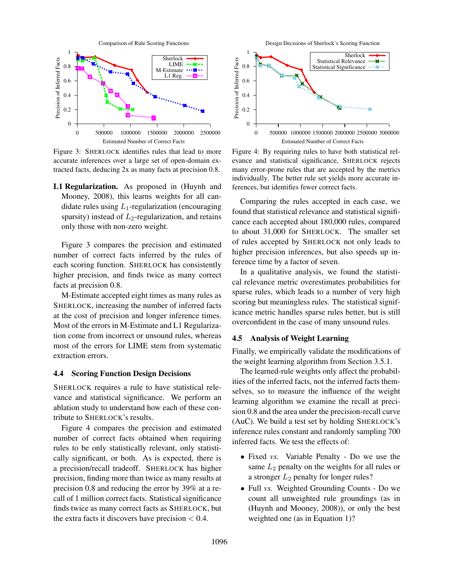

Figure 3: SHERLOCK identifies rules that lead to more accurate inferences over a large set of open-domain extracted facts, deducing 2x as many facts at precision 0.8.

L1 Regularization. As proposed in (Huynh and Mooney, 2008), this learns weights for all candidate rules using  $L_1$ -regularization (encouraging sparsity) instead of  $L_2$ -regularization, and retains only those with non-zero weight.

Figure 3 compares the precision and estimated number of correct facts inferred by the rules of each scoring function. SHERLOCK has consistently higher precision, and finds twice as many correct facts at precision 0.8.

M-Estimate accepted eight times as many rules as SHERLOCK, increasing the number of inferred facts at the cost of precision and longer inference times. Most of the errors in M-Estimate and L1 Regularization come from incorrect or unsound rules, whereas most of the errors for LIME stem from systematic extraction errors.

#### 4.4 Scoring Function Design Decisions

SHERLOCK requires a rule to have statistical relevance and statistical significance. We perform an ablation study to understand how each of these contribute to SHERLOCK's results.

Figure 4 compares the precision and estimated number of correct facts obtained when requiring rules to be only statistically relevant, only statistically significant, or both. As is expected, there is a precision/recall tradeoff. SHERLOCK has higher precision, finding more than twice as many results at precision 0.8 and reducing the error by 39% at a recall of 1 million correct facts. Statistical significance finds twice as many correct facts as SHERLOCK, but the extra facts it discovers have precision  $< 0.4$ .



Figure 4: By requiring rules to have both statistical relevance and statistical significance, SHERLOCK rejects many error-prone rules that are accepted by the metrics individually. The better rule set yields more accurate inferences, but identifies fewer correct facts.

Comparing the rules accepted in each case, we found that statistical relevance and statistical significance each accepted about 180,000 rules, compared to about 31,000 for SHERLOCK. The smaller set of rules accepted by SHERLOCK not only leads to higher precision inferences, but also speeds up inference time by a factor of seven.

In a qualitative analysis, we found the statistical relevance metric overestimates probabilities for sparse rules, which leads to a number of very high scoring but meaningless rules. The statistical significance metric handles sparse rules better, but is still overconfident in the case of many unsound rules.

#### 4.5 Analysis of Weight Learning

Finally, we empirically validate the modifications of the weight learning algorithm from Section 3.5.1.

The learned-rule weights only affect the probabilities of the inferred facts, not the inferred facts themselves, so to measure the influence of the weight learning algorithm we examine the recall at precision 0.8 and the area under the precision-recall curve (AuC). We build a test set by holding SHERLOCK's inference rules constant and randomly sampling 700 inferred facts. We test the effects of:

- Fixed *vs.* Variable Penalty Do we use the same  $L_2$  penalty on the weights for all rules or a stronger  $L_2$  penalty for longer rules?
- Full *vs.* Weighted Grounding Counts Do we count all unweighted rule groundings (as in (Huynh and Mooney, 2008)), or only the best weighted one (as in Equation 1)?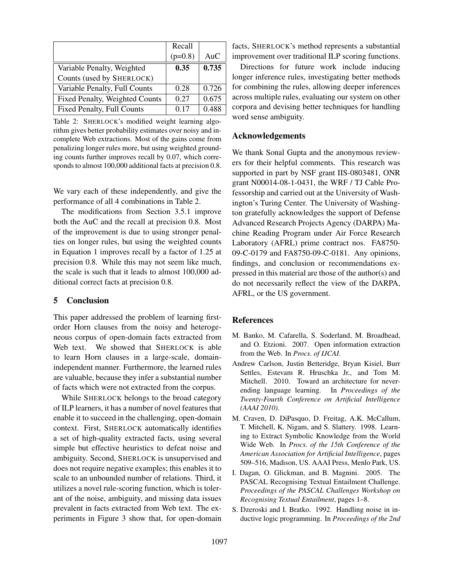|                                   | Recall    |       |
|-----------------------------------|-----------|-------|
|                                   | $(p=0.8)$ | AuC   |
| Variable Penalty, Weighted        | 0.35      | 0.735 |
| Counts (used by SHERLOCK)         |           |       |
| Variable Penalty, Full Counts     | 0.28      | 0.726 |
| Fixed Penalty, Weighted Counts    | 0.27      | 0.675 |
| <b>Fixed Penalty, Full Counts</b> | 0.17      | 0.488 |

Table 2: SHERLOCK's modified weight learning algorithm gives better probability estimates over noisy and incomplete Web extractions. Most of the gains come from penalizing longer rules more, but using weighted grounding counts further improves recall by 0.07, which corresponds to almost 100,000 additional facts at precision 0.8.

We vary each of these independently, and give the performance of all 4 combinations in Table 2.

The modifications from Section 3.5.1 improve both the AuC and the recall at precision 0.8. Most of the improvement is due to using stronger penalties on longer rules, but using the weighted counts in Equation 1 improves recall by a factor of 1.25 at precision 0.8. While this may not seem like much, the scale is such that it leads to almost 100,000 additional correct facts at precision 0.8.

#### 5 Conclusion

This paper addressed the problem of learning firstorder Horn clauses from the noisy and heterogeneous corpus of open-domain facts extracted from Web text. We showed that SHERLOCK is able to learn Horn clauses in a large-scale, domainindependent manner. Furthermore, the learned rules are valuable, because they infer a substantial number of facts which were not extracted from the corpus.

While SHERLOCK belongs to the broad category of ILP learners, it has a number of novel features that enable it to succeed in the challenging, open-domain context. First, SHERLOCK automatically identifies a set of high-quality extracted facts, using several simple but effective heuristics to defeat noise and ambiguity. Second, SHERLOCK is unsupervised and does not require negative examples; this enables it to scale to an unbounded number of relations. Third, it utilizes a novel rule-scoring function, which is tolerant of the noise, ambiguity, and missing data issues prevalent in facts extracted from Web text. The experiments in Figure 3 show that, for open-domain

facts, SHERLOCK's method represents a substantial improvement over traditional ILP scoring functions.

Directions for future work include inducing longer inference rules, investigating better methods for combining the rules, allowing deeper inferences across multiple rules, evaluating our system on other corpora and devising better techniques for handling word sense ambiguity.

# Acknowledgements

We thank Sonal Gupta and the anonymous reviewers for their helpful comments. This research was supported in part by NSF grant IIS-0803481, ONR grant N00014-08-1-0431, the WRF / TJ Cable Professorship and carried out at the University of Washington's Turing Center. The University of Washington gratefully acknowledges the support of Defense Advanced Research Projects Agency (DARPA) Machine Reading Program under Air Force Research Laboratory (AFRL) prime contract nos. FA8750- 09-C-0179 and FA8750-09-C-0181. Any opinions, findings, and conclusion or recommendations expressed in this material are those of the author(s) and do not necessarily reflect the view of the DARPA, AFRL, or the US government.

#### **References**

- M. Banko, M. Cafarella, S. Soderland, M. Broadhead, and O. Etzioni. 2007. Open information extraction from the Web. In *Procs. of IJCAI*.
- Andrew Carlson, Justin Betteridge, Bryan Kisiel, Burr Settles, Estevam R. Hruschka Jr., and Tom M. Mitchell. 2010. Toward an architecture for neverending language learning. In *Proceedings of the Twenty-Fourth Conference on Artificial Intelligence (AAAI 2010)*.
- M. Craven, D. DiPasquo, D. Freitag, A.K. McCallum, T. Mitchell, K. Nigam, and S. Slattery. 1998. Learning to Extract Symbolic Knowledge from the World Wide Web. In *Procs. of the 15th Conference of the American Association for Artificial Intelligence*, pages 509–516, Madison, US. AAAI Press, Menlo Park, US.
- I. Dagan, O. Glickman, and B. Magnini. 2005. The PASCAL Recognising Textual Entailment Challenge. *Proceedings of the PASCAL Challenges Workshop on Recognising Textual Entailment*, pages 1–8.
- S. Dzeroski and I. Bratko. 1992. Handling noise in inductive logic programming. In *Proceedings of the 2nd*